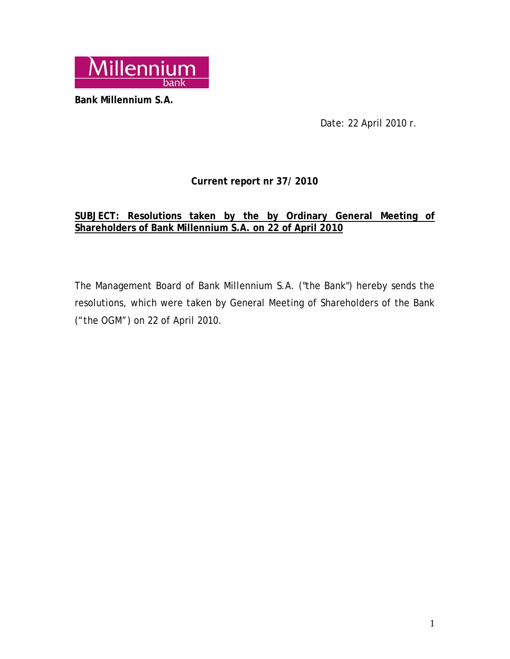

**Bank Millennium S.A.** 

Date: 22 April 2010 r.

# **Current report nr 37/ 2010**

# **SUBJECT: Resolutions taken by the by Ordinary General Meeting of Shareholders of Bank Millennium S.A. on 22 of April 2010**

The Management Board of Bank Millennium S.A. ("the Bank") hereby sends the resolutions, which were taken by General Meeting of Shareholders of the Bank ("the OGM") on 22 of April 2010.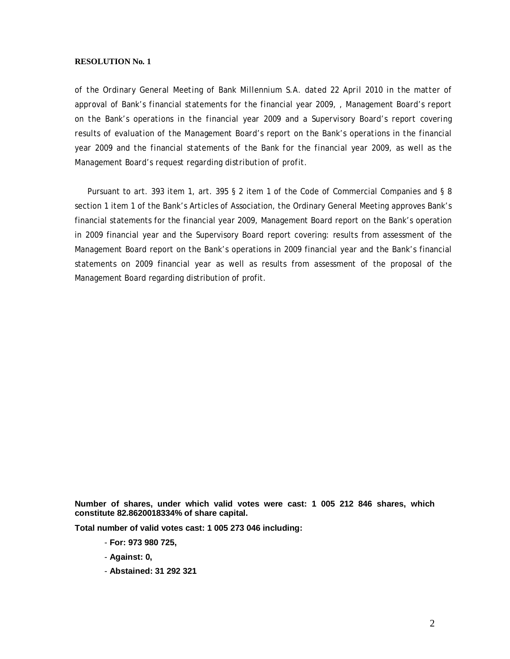*of the Ordinary General Meeting of Bank Millennium S.A. dated 22 April 2010 in the matter of approval of Bank's financial statements for the financial year 2009, , Management Board's report on the Bank's operations in the financial year 2009 and a Supervisory Board's report covering results of evaluation of the Management Board's report on the Bank's operations in the financial year 2009 and the financial statements of the Bank for the financial year 2009, as well as the Management Board's request regarding distribution of profit.* 

 Pursuant to art. 393 item 1, art. 395 § 2 item 1 of the Code of Commercial Companies and § 8 section 1 item 1 of the Bank's Articles of Association, the Ordinary General Meeting approves Bank's financial statements for the financial year 2009, Management Board report on the Bank's operation in 2009 financial year and the Supervisory Board report covering: results from assessment of the Management Board report on the Bank's operations in 2009 financial year and the Bank's financial statements on 2009 financial year as well as results from assessment of the proposal of the Management Board regarding distribution of profit.

**Number of shares, under which valid votes were cast: 1 005 212 846 shares, which constitute 82.8620018334% of share capital.** 

**Total number of valid votes cast: 1 005 273 046 including:** 

- **For: 973 980 725,**
- **Against: 0,**
- **Abstained: 31 292 321**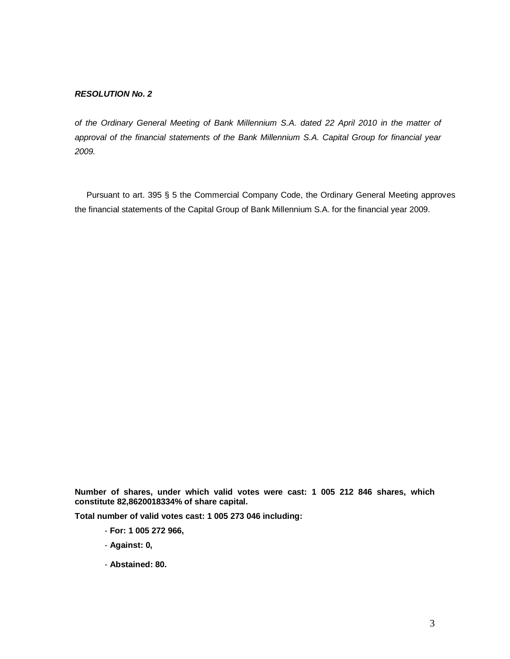*of the Ordinary General Meeting of Bank Millennium S.A. dated 22 April 2010 in the matter of approval of the financial statements of the Bank Millennium S.A. Capital Group for financial year 2009.* 

 Pursuant to art. 395 § 5 the Commercial Company Code, the Ordinary General Meeting approves the financial statements of the Capital Group of Bank Millennium S.A. for the financial year 2009.

**Number of shares, under which valid votes were cast: 1 005 212 846 shares, which constitute 82,8620018334% of share capital.** 

**Total number of valid votes cast: 1 005 273 046 including:** 

- **For: 1 005 272 966,**
- **Against: 0,**
- **Abstained: 80.**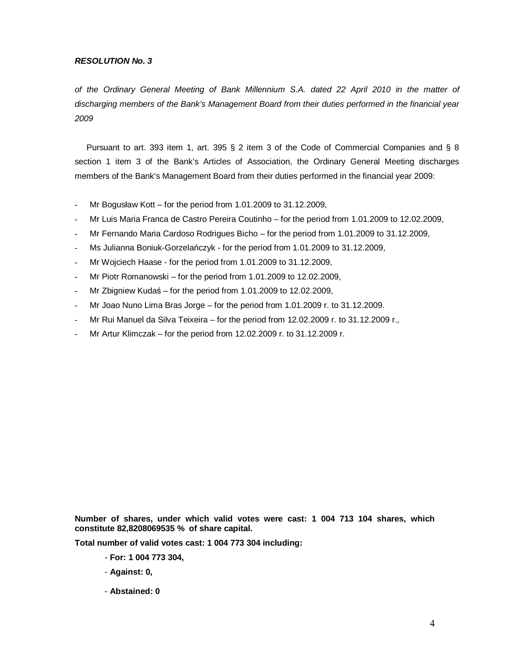*of the Ordinary General Meeting of Bank Millennium S.A. dated 22 April 2010 in the matter of discharging members of the Bank's Management Board from their duties performed in the financial year 2009* 

 Pursuant to art. 393 item 1, art. 395 § 2 item 3 of the Code of Commercial Companies and § 8 section 1 item 3 of the Bank's Articles of Association, the Ordinary General Meeting discharges members of the Bank's Management Board from their duties performed in the financial year 2009:

- Mr Bogusław Kott for the period from 1.01.2009 to 31.12.2009,
- Mr Luis Maria Franca de Castro Pereira Coutinho for the period from 1.01.2009 to 12.02.2009,
- Mr Fernando Maria Cardoso Rodrigues Bicho for the period from 1.01.2009 to 31.12.2009,
- Ms Julianna Boniuk-Gorzelańczyk for the period from 1.01.2009 to 31.12.2009,
- Mr Wojciech Haase for the period from 1.01.2009 to 31.12.2009,
- Mr Piotr Romanowski for the period from  $1.01.2009$  to  $12.02.2009$ ,
- Mr Zbigniew Kudaś for the period from 1.01.2009 to 12.02.2009,
- Mr Joao Nuno Lima Bras Jorge for the period from 1.01.2009 r. to 31.12.2009.
- Mr Rui Manuel da Silva Teixeira for the period from 12.02.2009 r. to 31.12.2009 r.,
- Mr Artur Klimczak for the period from 12.02.2009 r. to 31.12.2009 r.

**Number of shares, under which valid votes were cast: 1 004 713 104 shares, which constitute 82,8208069535 % of share capital.** 

**Total number of valid votes cast: 1 004 773 304 including:** 

- **For: 1 004 773 304,**
- **Against: 0,**
- **Abstained: 0**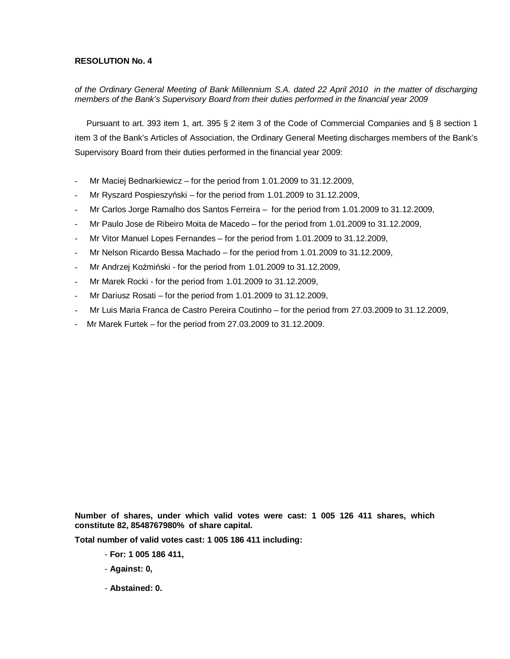# of the Ordinary General Meeting of Bank Millennium S.A. dated 22 April 2010 in the matter of discharging *members of the Bank's Supervisory Board from their duties performed in the financial year 2009*

 Pursuant to art. 393 item 1, art. 395 § 2 item 3 of the Code of Commercial Companies and § 8 section 1 item 3 of the Bank's Articles of Association, the Ordinary General Meeting discharges members of the Bank's Supervisory Board from their duties performed in the financial year 2009:

- Mr Maciej Bednarkiewicz for the period from 1.01.2009 to 31.12.2009,
- Mr Ryszard Pospieszyński for the period from 1.01.2009 to 31.12.2009,
- Mr Carlos Jorge Ramalho dos Santos Ferreira for the period from 1.01.2009 to 31.12.2009,
- Mr Paulo Jose de Ribeiro Moita de Macedo for the period from 1.01.2009 to 31.12.2009,
- Mr Vitor Manuel Lopes Fernandes for the period from 1.01.2009 to 31.12.2009,
- Mr Nelson Ricardo Bessa Machado for the period from 1.01.2009 to 31.12.2009,
- Mr Andrzej Koźmiński for the period from 1.01.2009 to 31.12.2009,
- Mr Marek Rocki for the period from 1.01.2009 to 31.12.2009,
- Mr Dariusz Rosati for the period from 1.01.2009 to 31.12.2009,
- Mr Luis Maria Franca de Castro Pereira Coutinho for the period from 27.03.2009 to 31.12.2009,
- Mr Marek Furtek for the period from 27.03.2009 to 31.12.2009.

**Number of shares, under which valid votes were cast: 1 005 126 411 shares, which constitute 82, 8548767980% of share capital.** 

**Total number of valid votes cast: 1 005 186 411 including:** 

- **For: 1 005 186 411,**
- **Against: 0,**
- **Abstained: 0.**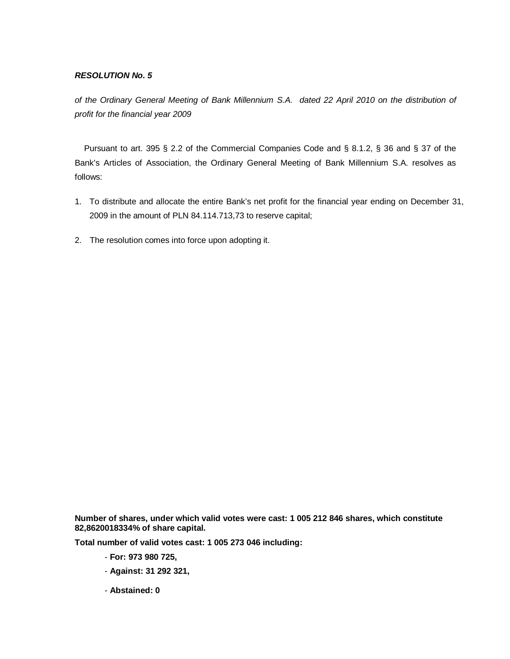*of the Ordinary General Meeting of Bank Millennium S.A. dated 22 April 2010 on the distribution of profit for the financial year 2009* 

 Pursuant to art. 395 § 2.2 of the Commercial Companies Code and § 8.1.2, § 36 and § 37 of the Bank's Articles of Association, the Ordinary General Meeting of Bank Millennium S.A. resolves as follows:

- 1. To distribute and allocate the entire Bank's net profit for the financial year ending on December 31, 2009 in the amount of PLN 84.114.713,73 to reserve capital;
- 2. The resolution comes into force upon adopting it.

**Number of shares, under which valid votes were cast: 1 005 212 846 shares, which constitute 82,8620018334% of share capital.** 

**Total number of valid votes cast: 1 005 273 046 including:** 

- **For: 973 980 725,**
- **Against: 31 292 321,**
- **Abstained: 0**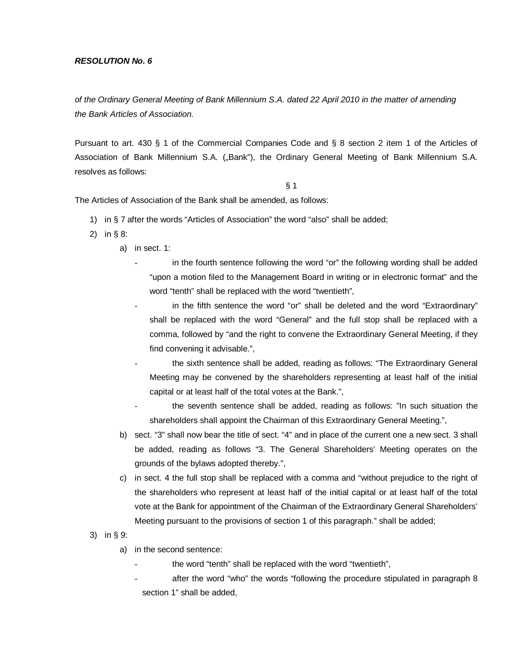*of the Ordinary General Meeting of Bank Millennium S.A. dated 22 April 2010 in the matter of amending the Bank Articles of Association.* 

Pursuant to art. 430 § 1 of the Commercial Companies Code and § 8 section 2 item 1 of the Articles of Association of Bank Millennium S.A. ("Bank"), the Ordinary General Meeting of Bank Millennium S.A. resolves as follows:

#### § 1

The Articles of Association of the Bank shall be amended, as follows:

- 1) in § 7 after the words "Articles of Association" the word "also" shall be added;
- 2) in § 8:
	- a) in sect. 1:
		- in the fourth sentence following the word "or" the following wording shall be added "upon a motion filed to the Management Board in writing or in electronic format" and the word "tenth" shall be replaced with the word "twentieth",
		- in the fifth sentence the word "or" shall be deleted and the word "Extraordinary" shall be replaced with the word "General" and the full stop shall be replaced with a comma, followed by "and the right to convene the Extraordinary General Meeting, if they find convening it advisable.",
		- the sixth sentence shall be added, reading as follows: "The Extraordinary General Meeting may be convened by the shareholders representing at least half of the initial capital or at least half of the total votes at the Bank.",
		- the seventh sentence shall be added, reading as follows: "In such situation the shareholders shall appoint the Chairman of this Extraordinary General Meeting.",
	- b) sect. "3" shall now bear the title of sect. "4" and in place of the current one a new sect. 3 shall be added, reading as follows "3. The General Shareholders' Meeting operates on the grounds of the bylaws adopted thereby.",
	- c) in sect. 4 the full stop shall be replaced with a comma and "without prejudice to the right of the shareholders who represent at least half of the initial capital or at least half of the total vote at the Bank for appointment of the Chairman of the Extraordinary General Shareholders' Meeting pursuant to the provisions of section 1 of this paragraph." shall be added;
- 3) in § 9:
	- a) in the second sentence:
		- the word "tenth" shall be replaced with the word "twentieth",
		- after the word "who" the words "following the procedure stipulated in paragraph 8 section 1" shall be added,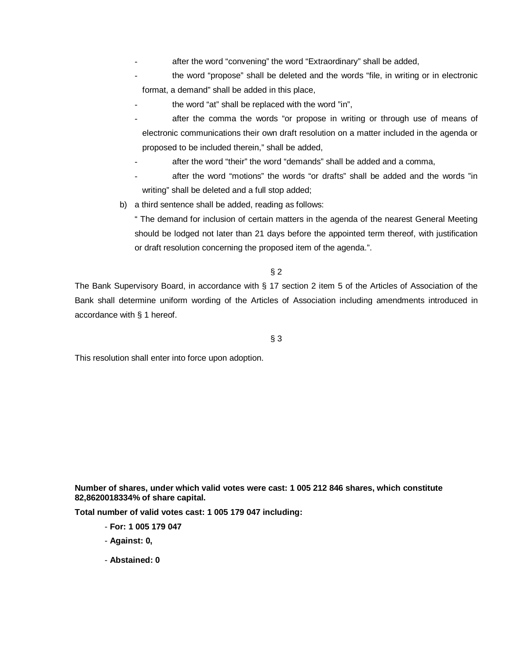after the word "convening" the word "Extraordinary" shall be added,

the word "propose" shall be deleted and the words "file, in writing or in electronic format, a demand" shall be added in this place,

- the word "at" shall be replaced with the word "in",
- after the comma the words "or propose in writing or through use of means of electronic communications their own draft resolution on a matter included in the agenda or proposed to be included therein," shall be added,
- after the word "their" the word "demands" shall be added and a comma,
- after the word "motions" the words "or drafts" shall be added and the words "in writing" shall be deleted and a full stop added;
- b) a third sentence shall be added, reading as follows:

" The demand for inclusion of certain matters in the agenda of the nearest General Meeting should be lodged not later than 21 days before the appointed term thereof, with justification or draft resolution concerning the proposed item of the agenda.".

## § 2

The Bank Supervisory Board, in accordance with § 17 section 2 item 5 of the Articles of Association of the Bank shall determine uniform wording of the Articles of Association including amendments introduced in accordance with § 1 hereof.

## § 3

This resolution shall enter into force upon adoption.

**Number of shares, under which valid votes were cast: 1 005 212 846 shares, which constitute 82,8620018334% of share capital.** 

**Total number of valid votes cast: 1 005 179 047 including:** 

- **For: 1 005 179 047**
- **Against: 0,**
- **Abstained: 0**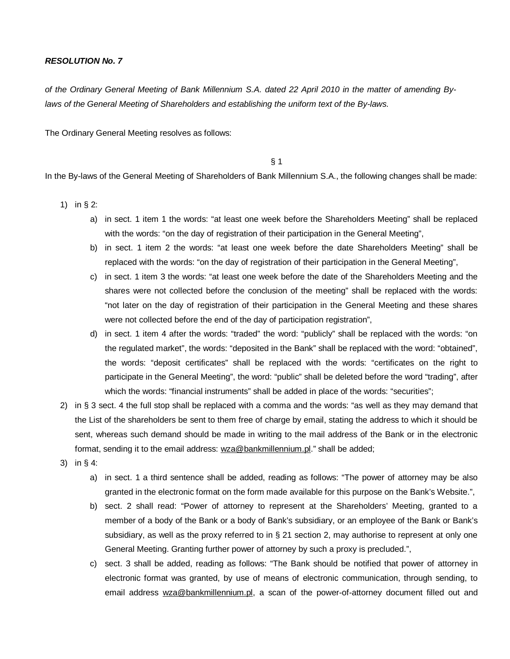of the Ordinary General Meeting of Bank Millennium S.A. dated 22 April 2010 in the matter of amending By*laws of the General Meeting of Shareholders and establishing the uniform text of the By-laws.* 

The Ordinary General Meeting resolves as follows:

§ 1

In the By-laws of the General Meeting of Shareholders of Bank Millennium S.A., the following changes shall be made:

- 1) in § 2:
	- a) in sect. 1 item 1 the words: "at least one week before the Shareholders Meeting" shall be replaced with the words: "on the day of registration of their participation in the General Meeting",
	- b) in sect. 1 item 2 the words: "at least one week before the date Shareholders Meeting" shall be replaced with the words: "on the day of registration of their participation in the General Meeting",
	- c) in sect. 1 item 3 the words: "at least one week before the date of the Shareholders Meeting and the shares were not collected before the conclusion of the meeting" shall be replaced with the words: "not later on the day of registration of their participation in the General Meeting and these shares were not collected before the end of the day of participation registration",
	- d) in sect. 1 item 4 after the words: "traded" the word: "publicly" shall be replaced with the words: "on the regulated market", the words: "deposited in the Bank" shall be replaced with the word: "obtained", the words: "deposit certificates" shall be replaced with the words: "certificates on the right to participate in the General Meeting", the word: "public" shall be deleted before the word "trading", after which the words: "financial instruments" shall be added in place of the words: "securities";
- 2) in § 3 sect. 4 the full stop shall be replaced with a comma and the words: "as well as they may demand that the List of the shareholders be sent to them free of charge by email, stating the address to which it should be sent, whereas such demand should be made in writing to the mail address of the Bank or in the electronic format, sending it to the email address: [wza@bankmillennium.pl](mailto:wza@bankmillennium.pl)." shall be added;
- 3) in § 4:
	- a) in sect. 1 a third sentence shall be added, reading as follows: "The power of attorney may be also granted in the electronic format on the form made available for this purpose on the Bank's Website.",
	- b) sect. 2 shall read: "Power of attorney to represent at the Shareholders' Meeting, granted to a member of a body of the Bank or a body of Bank's subsidiary, or an employee of the Bank or Bank's subsidiary, as well as the proxy referred to in § 21 section 2, may authorise to represent at only one General Meeting. Granting further power of attorney by such a proxy is precluded.",
	- c) sect. 3 shall be added, reading as follows: "The Bank should be notified that power of attorney in electronic format was granted, by use of means of electronic communication, through sending, to email address [wza@bankmillennium.pl,](mailto:wza@bankmillennium.pl) a scan of the power-of-attorney document filled out and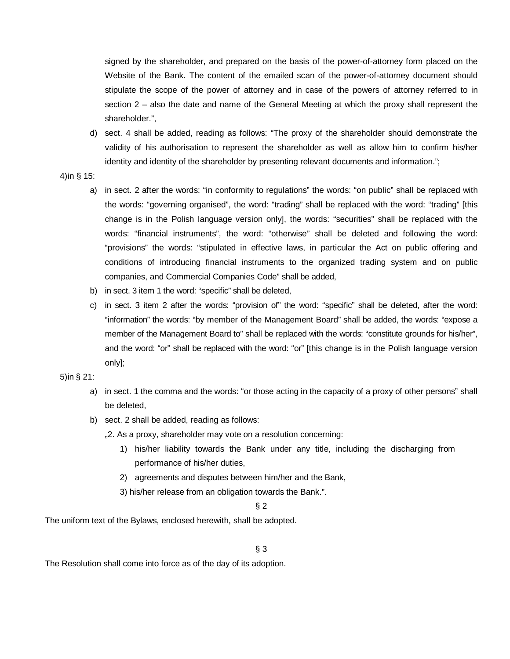signed by the shareholder, and prepared on the basis of the power-of-attorney form placed on the Website of the Bank. The content of the emailed scan of the power-of-attorney document should stipulate the scope of the power of attorney and in case of the powers of attorney referred to in section 2 – also the date and name of the General Meeting at which the proxy shall represent the shareholder.",

- d) sect. 4 shall be added, reading as follows: "The proxy of the shareholder should demonstrate the validity of his authorisation to represent the shareholder as well as allow him to confirm his/her identity and identity of the shareholder by presenting relevant documents and information.";
- 4)in § 15:
	- a) in sect. 2 after the words: "in conformity to regulations" the words: "on public" shall be replaced with the words: "governing organised", the word: "trading" shall be replaced with the word: "trading" [this change is in the Polish language version only], the words: "securities" shall be replaced with the words: "financial instruments", the word: "otherwise" shall be deleted and following the word: "provisions" the words: "stipulated in effective laws, in particular the Act on public offering and conditions of introducing financial instruments to the organized trading system and on public companies, and Commercial Companies Code" shall be added,
	- b) in sect. 3 item 1 the word: "specific" shall be deleted,
	- c) in sect. 3 item 2 after the words: "provision of" the word: "specific" shall be deleted, after the word: "information" the words: "by member of the Management Board" shall be added, the words: "expose a member of the Management Board to" shall be replaced with the words: "constitute grounds for his/her", and the word: "or" shall be replaced with the word: "or" [this change is in the Polish language version only];

## 5)in § 21:

- a) in sect. 1 the comma and the words: "or those acting in the capacity of a proxy of other persons" shall be deleted,
- b) sect. 2 shall be added, reading as follows:
	- "2. As a proxy, shareholder may vote on a resolution concerning:
		- 1) his/her liability towards the Bank under any title, including the discharging from performance of his/her duties,
		- 2) agreements and disputes between him/her and the Bank,
		- 3) his/her release from an obligation towards the Bank.".

§ 2

The uniform text of the Bylaws, enclosed herewith, shall be adopted.

§ 3

The Resolution shall come into force as of the day of its adoption.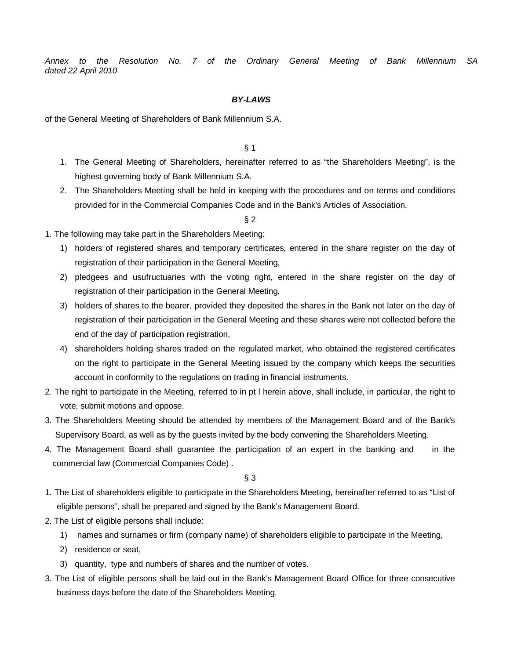*Annex to the Resolution No. 7 of the Ordinary General Meeting of Bank Millennium SA dated 22 April 2010*

### *BY-LAWS*

of the General Meeting of Shareholders of Bank Millennium S.A.

§ 1

- 1. The General Meeting of Shareholders, hereinafter referred to as "the Shareholders Meeting", is the highest governing body of Bank Millennium S.A.
- 2. The Shareholders Meeting shall be held in keeping with the procedures and on terms and conditions provided for in the Commercial Companies Code and in the Bank's Articles of Association.

§ 2

- 1. The following may take part in the Shareholders Meeting:
	- 1) holders of registered shares and temporary certificates, entered in the share register on the day of registration of their participation in the General Meeting,
	- 2) pledgees and usufructuaries with the voting right, entered in the share register on the day of registration of their participation in the General Meeting,
	- 3) holders of shares to the bearer, provided they deposited the shares in the Bank not later on the day of registration of their participation in the General Meeting and these shares were not collected before the end of the day of participation registration,
	- 4) shareholders holding shares traded on the regulated market, who obtained the registered certificates on the right to participate in the General Meeting issued by the company which keeps the securities account in conformity to the regulations on trading in financial instruments.
- 2. The right to participate in the Meeting, referred to in pt l herein above, shall include, in particular, the right to vote, submit motions and oppose.
- 3. The Shareholders Meeting should be attended by members of the Management Board and of the Bank's Supervisory Board, as well as by the guests invited by the body convening the Shareholders Meeting.
- 4. The Management Board shall guarantee the participation of an expert in the banking and in the commercial law (Commercial Companies Code) .

- 1. The List of shareholders eligible to participate in the Shareholders Meeting, hereinafter referred to as "List of eligible persons", shall be prepared and signed by the Bank's Management Board.
- 2. The List of eligible persons shall include:
	- 1) names and surnames or firm (company name) of shareholders eligible to participate in the Meeting,
	- 2) residence or seat,
	- 3) quantity, type and numbers of shares and the number of votes.
- 3. The List of eligible persons shall be laid out in the Bank's Management Board Office for three consecutive business days before the date of the Shareholders Meeting.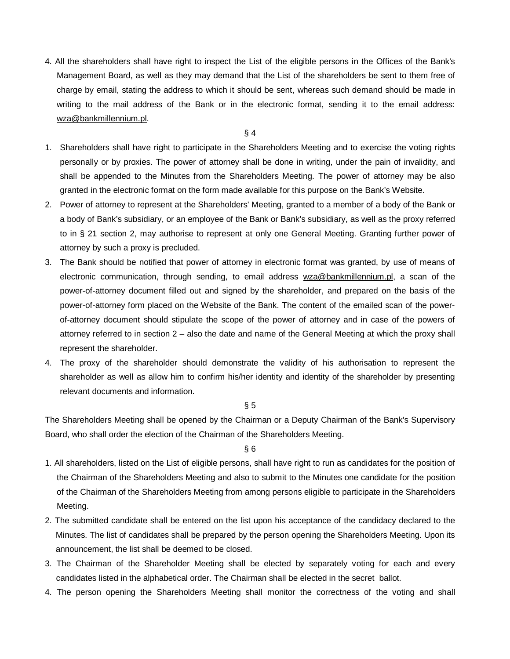4. All the shareholders shall have right to inspect the List of the eligible persons in the Offices of the Bank's Management Board, as well as they may demand that the List of the shareholders be sent to them free of charge by email, stating the address to which it should be sent, whereas such demand should be made in writing to the mail address of the Bank or in the electronic format, sending it to the email address: [wza@bankmillennium.pl](mailto:wza@bankmillennium.pl).

#### § 4

- 1. Shareholders shall have right to participate in the Shareholders Meeting and to exercise the voting rights personally or by proxies. The power of attorney shall be done in writing, under the pain of invalidity, and shall be appended to the Minutes from the Shareholders Meeting. The power of attorney may be also granted in the electronic format on the form made available for this purpose on the Bank's Website.
- 2. Power of attorney to represent at the Shareholders' Meeting, granted to a member of a body of the Bank or a body of Bank's subsidiary, or an employee of the Bank or Bank's subsidiary, as well as the proxy referred to in § 21 section 2, may authorise to represent at only one General Meeting. Granting further power of attorney by such a proxy is precluded.
- 3. The Bank should be notified that power of attorney in electronic format was granted, by use of means of electronic communication, through sending, to email address [wza@bankmillennium.pl](mailto:wza@bankmillennium.pl), a scan of the power-of-attorney document filled out and signed by the shareholder, and prepared on the basis of the power-of-attorney form placed on the Website of the Bank. The content of the emailed scan of the powerof-attorney document should stipulate the scope of the power of attorney and in case of the powers of attorney referred to in section 2 – also the date and name of the General Meeting at which the proxy shall represent the shareholder.
- 4. The proxy of the shareholder should demonstrate the validity of his authorisation to represent the shareholder as well as allow him to confirm his/her identity and identity of the shareholder by presenting relevant documents and information.

#### § 5

The Shareholders Meeting shall be opened by the Chairman or a Deputy Chairman of the Bank's Supervisory Board, who shall order the election of the Chairman of the Shareholders Meeting.

- 1. All shareholders, listed on the List of eligible persons, shall have right to run as candidates for the position of the Chairman of the Shareholders Meeting and also to submit to the Minutes one candidate for the position of the Chairman of the Shareholders Meeting from among persons eligible to participate in the Shareholders Meeting.
- 2. The submitted candidate shall be entered on the list upon his acceptance of the candidacy declared to the Minutes. The list of candidates shall be prepared by the person opening the Shareholders Meeting. Upon its announcement, the list shall be deemed to be closed.
- 3. The Chairman of the Shareholder Meeting shall be elected by separately voting for each and every candidates listed in the alphabetical order. The Chairman shall be elected in the secret ballot.
- 4. The person opening the Shareholders Meeting shall monitor the correctness of the voting and shall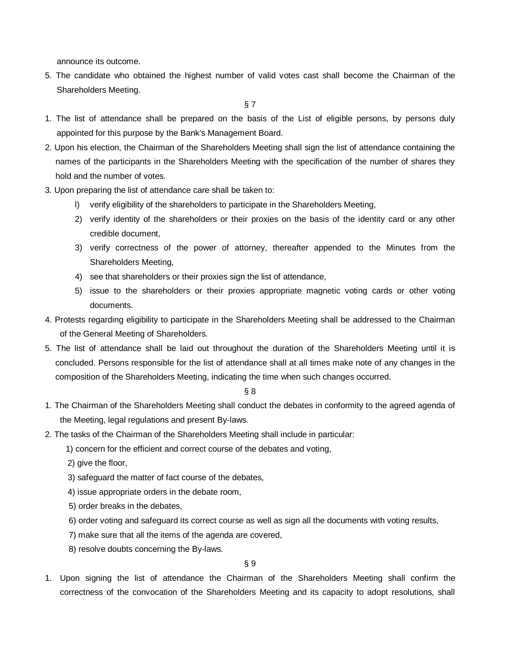announce its outcome.

5. The candidate who obtained the highest number of valid votes cast shall become the Chairman of the Shareholders Meeting.

- 1. The list of attendance shall be prepared on the basis of the List of eligible persons, by persons duly appointed for this purpose by the Bank's Management Board.
- 2. Upon his election, the Chairman of the Shareholders Meeting shall sign the list of attendance containing the names of the participants in the Shareholders Meeting with the specification of the number of shares they hold and the number of votes.
- 3. Upon preparing the list of attendance care shall be taken to:
	- l) verify eligibility of the shareholders to participate in the Shareholders Meeting,
	- 2) verify identity of the shareholders or their proxies on the basis of the identity card or any other credible document,
	- 3) verify correctness of the power of attorney, thereafter appended to the Minutes from the Shareholders Meeting,
	- 4) see that shareholders or their proxies sign the list of attendance,
	- 5) issue to the shareholders or their proxies appropriate magnetic voting cards or other voting documents.
- 4. Protests regarding eligibility to participate in the Shareholders Meeting shall be addressed to the Chairman of the General Meeting of Shareholders.
- 5. The list of attendance shall be laid out throughout the duration of the Shareholders Meeting until it is concluded. Persons responsible for the list of attendance shall at all times make note of any changes in the composition of the Shareholders Meeting, indicating the time when such changes occurred.

## § 8

- 1. The Chairman of the Shareholders Meeting shall conduct the debates in conformity to the agreed agenda of the Meeting, legal regulations and present By-laws.
- 2. The tasks of the Chairman of the Shareholders Meeting shall include in particular:
	- 1) concern for the efficient and correct course of the debates and voting,
	- 2) give the floor,
	- 3) safeguard the matter of fact course of the debates,
	- 4) issue appropriate orders in the debate room,
	- 5) order breaks in the debates,
	- 6) order voting and safeguard its correct course as well as sign all the documents with voting results,
	- 7) make sure that all the items of the agenda are covered,
	- 8) resolve doubts concerning the By-laws.

§ 9

1. Upon signing the list of attendance the Chairman of the Shareholders Meeting shall confirm the correctness of the convocation of the Shareholders Meeting and its capacity to adopt resolutions, shall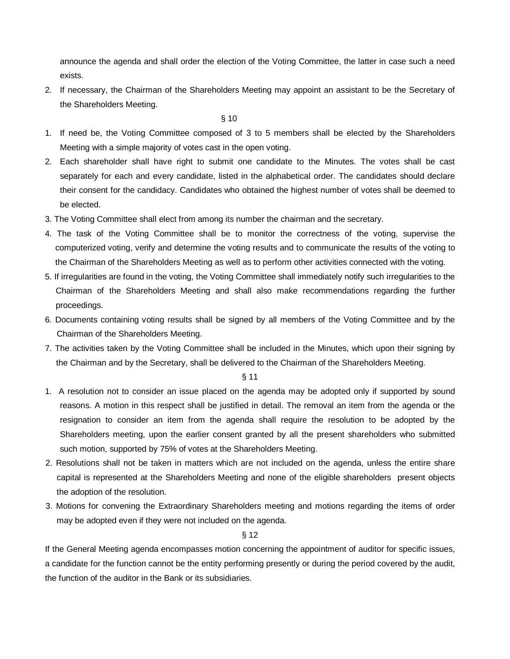announce the agenda and shall order the election of the Voting Committee, the latter in case such a need exists.

2. If necessary, the Chairman of the Shareholders Meeting may appoint an assistant to be the Secretary of the Shareholders Meeting.

 $\S 10$ 

- 1. If need be, the Voting Committee composed of 3 to 5 members shall be elected by the Shareholders Meeting with a simple majority of votes cast in the open voting.
- 2. Each shareholder shall have right to submit one candidate to the Minutes. The votes shall be cast separately for each and every candidate, listed in the alphabetical order. The candidates should declare their consent for the candidacy. Candidates who obtained the highest number of votes shall be deemed to be elected.
- 3. The Voting Committee shall elect from among its number the chairman and the secretary.
- 4. The task of the Voting Committee shall be to monitor the correctness of the voting, supervise the computerized voting, verify and determine the voting results and to communicate the results of the voting to the Chairman of the Shareholders Meeting as well as to perform other activities connected with the voting.
- 5. If irregularities are found in the voting, the Voting Committee shall immediately notify such irregularities to the Chairman of the Shareholders Meeting and shall also make recommendations regarding the further proceedings.
- 6. Documents containing voting results shall be signed by all members of the Voting Committee and by the Chairman of the Shareholders Meeting.
- 7. The activities taken by the Voting Committee shall be included in the Minutes, which upon their signing by the Chairman and by the Secretary, shall be delivered to the Chairman of the Shareholders Meeting.

§ 11

- 1. A resolution not to consider an issue placed on the agenda may be adopted only if supported by sound reasons. A motion in this respect shall be justified in detail. The removal an item from the agenda or the resignation to consider an item from the agenda shall require the resolution to be adopted by the Shareholders meeting, upon the earlier consent granted by all the present shareholders who submitted such motion, supported by 75% of votes at the Shareholders Meeting.
- 2. Resolutions shall not be taken in matters which are not included on the agenda, unless the entire share capital is represented at the Shareholders Meeting and none of the eligible shareholders present objects the adoption of the resolution.
- 3. Motions for convening the Extraordinary Shareholders meeting and motions regarding the items of order may be adopted even if they were not included on the agenda.

§ 12

If the General Meeting agenda encompasses motion concerning the appointment of auditor for specific issues, a candidate for the function cannot be the entity performing presently or during the period covered by the audit, the function of the auditor in the Bank or its subsidiaries.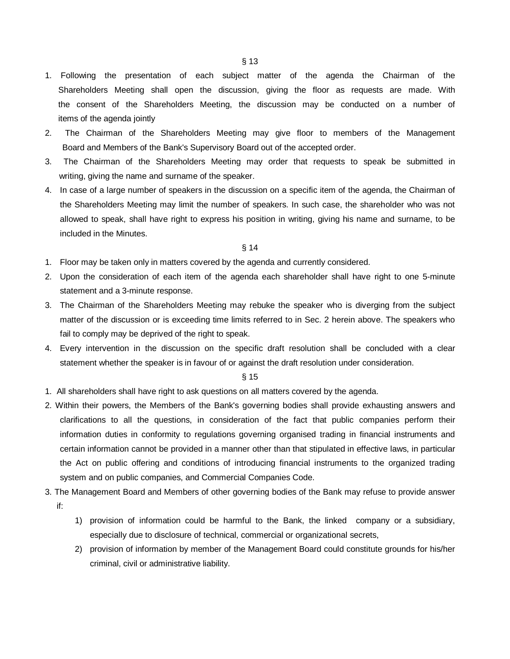1. Following the presentation of each subject matter of the agenda the Chairman of the Shareholders Meeting shall open the discussion, giving the floor as requests are made. With the consent of the Shareholders Meeting, the discussion may be conducted on a number of items of the agenda jointly

- 2. The Chairman of the Shareholders Meeting may give floor to members of the Management Board and Members of the Bank's Supervisory Board out of the accepted order.
- 3. The Chairman of the Shareholders Meeting may order that requests to speak be submitted in writing, giving the name and surname of the speaker.
- 4. In case of a large number of speakers in the discussion on a specific item of the agenda, the Chairman of the Shareholders Meeting may limit the number of speakers. In such case, the shareholder who was not allowed to speak, shall have right to express his position in writing, giving his name and surname, to be included in the Minutes.

#### § 14

- 1. Floor may be taken only in matters covered by the agenda and currently considered.
- 2. Upon the consideration of each item of the agenda each shareholder shall have right to one 5-minute statement and a 3-minute response.
- 3. The Chairman of the Shareholders Meeting may rebuke the speaker who is diverging from the subject matter of the discussion or is exceeding time limits referred to in Sec. 2 herein above. The speakers who fail to comply may be deprived of the right to speak.
- 4. Every intervention in the discussion on the specific draft resolution shall be concluded with a clear statement whether the speaker is in favour of or against the draft resolution under consideration.

- 1. All shareholders shall have right to ask questions on all matters covered by the agenda.
- 2. Within their powers, the Members of the Bank's governing bodies shall provide exhausting answers and clarifications to all the questions, in consideration of the fact that public companies perform their information duties in conformity to regulations governing organised trading in financial instruments and certain information cannot be provided in a manner other than that stipulated in effective laws, in particular the Act on public offering and conditions of introducing financial instruments to the organized trading system and on public companies, and Commercial Companies Code.
- 3. The Management Board and Members of other governing bodies of the Bank may refuse to provide answer if:
	- 1) provision of information could be harmful to the Bank, the linked company or a subsidiary, especially due to disclosure of technical, commercial or organizational secrets,
	- 2) provision of information by member of the Management Board could constitute grounds for his/her criminal, civil or administrative liability.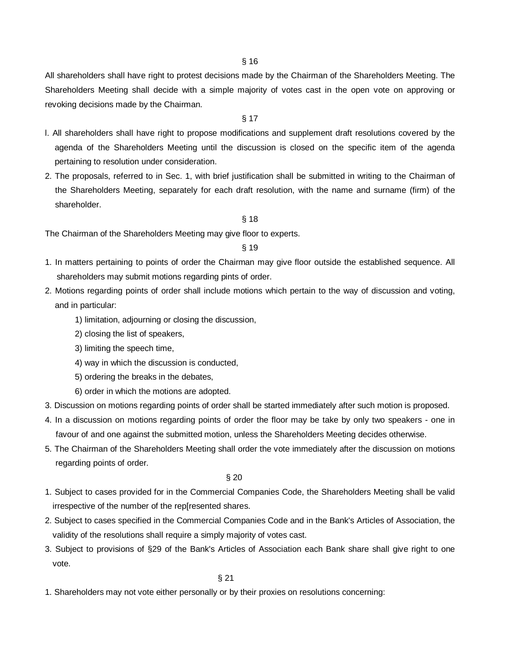All shareholders shall have right to protest decisions made by the Chairman of the Shareholders Meeting. The Shareholders Meeting shall decide with a simple majority of votes cast in the open vote on approving or revoking decisions made by the Chairman.

## § 17

- l. All shareholders shall have right to propose modifications and supplement draft resolutions covered by the agenda of the Shareholders Meeting until the discussion is closed on the specific item of the agenda pertaining to resolution under consideration.
- 2. The proposals, referred to in Sec. 1, with brief justification shall be submitted in writing to the Chairman of the Shareholders Meeting, separately for each draft resolution, with the name and surname (firm) of the shareholder.

#### § 18

The Chairman of the Shareholders Meeting may give floor to experts.

## § 19

- 1. In matters pertaining to points of order the Chairman may give floor outside the established sequence. All shareholders may submit motions regarding pints of order.
- 2. Motions regarding points of order shall include motions which pertain to the way of discussion and voting, and in particular:
	- 1) limitation, adjourning or closing the discussion,
	- 2) closing the list of speakers,
	- 3) limiting the speech time,
	- 4) way in which the discussion is conducted,
	- 5) ordering the breaks in the debates,
	- 6) order in which the motions are adopted.
- 3. Discussion on motions regarding points of order shall be started immediately after such motion is proposed.
- 4. In a discussion on motions regarding points of order the floor may be take by only two speakers one in favour of and one against the submitted motion, unless the Shareholders Meeting decides otherwise.
- 5. The Chairman of the Shareholders Meeting shall order the vote immediately after the discussion on motions regarding points of order.

§ 20

- 1. Subject to cases provided for in the Commercial Companies Code, the Shareholders Meeting shall be valid irrespective of the number of the rep[resented shares.
- 2. Subject to cases specified in the Commercial Companies Code and in the Bank's Articles of Association, the validity of the resolutions shall require a simply majority of votes cast.
- 3. Subject to provisions of §29 of the Bank's Articles of Association each Bank share shall give right to one vote.

1. Shareholders may not vote either personally or by their proxies on resolutions concerning: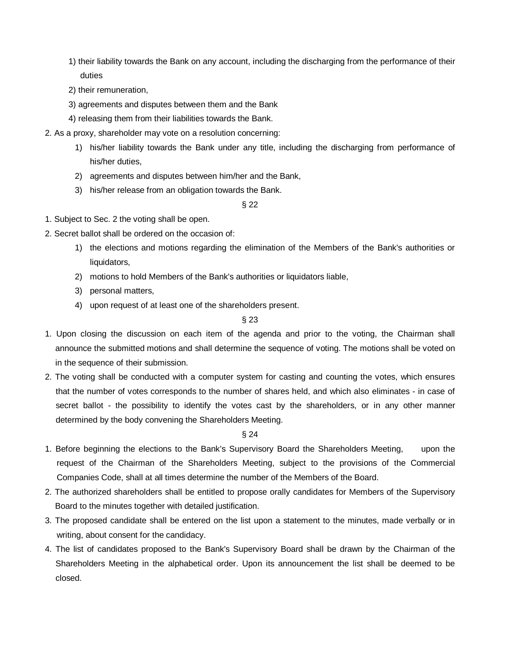- 1) their liability towards the Bank on any account, including the discharging from the performance of their duties
- 2) their remuneration,
- 3) agreements and disputes between them and the Bank
- 4) releasing them from their liabilities towards the Bank.
- 2. As a proxy, shareholder may vote on a resolution concerning:
	- 1) his/her liability towards the Bank under any title, including the discharging from performance of his/her duties,
	- 2) agreements and disputes between him/her and the Bank,
	- 3) his/her release from an obligation towards the Bank.

§ 22

- 1. Subject to Sec. 2 the voting shall be open.
- 2. Secret ballot shall be ordered on the occasion of:
	- 1) the elections and motions regarding the elimination of the Members of the Bank's authorities or liquidators,
	- 2) motions to hold Members of the Bank's authorities or liquidators liable,
	- 3) personal matters,
	- 4) upon request of at least one of the shareholders present.

## § 23

- 1. Upon closing the discussion on each item of the agenda and prior to the voting, the Chairman shall announce the submitted motions and shall determine the sequence of voting. The motions shall be voted on in the sequence of their submission.
- 2. The voting shall be conducted with a computer system for casting and counting the votes, which ensures that the number of votes corresponds to the number of shares held, and which also eliminates - in case of secret ballot - the possibility to identify the votes cast by the shareholders, or in any other manner determined by the body convening the Shareholders Meeting.

- 1. Before beginning the elections to the Bank's Supervisory Board the Shareholders Meeting, upon the request of the Chairman of the Shareholders Meeting, subject to the provisions of the Commercial Companies Code, shall at all times determine the number of the Members of the Board.
- 2. The authorized shareholders shall be entitled to propose orally candidates for Members of the Supervisory Board to the minutes together with detailed justification.
- 3. The proposed candidate shall be entered on the list upon a statement to the minutes, made verbally or in writing, about consent for the candidacy.
- 4. The list of candidates proposed to the Bank's Supervisory Board shall be drawn by the Chairman of the Shareholders Meeting in the alphabetical order. Upon its announcement the list shall be deemed to be closed.